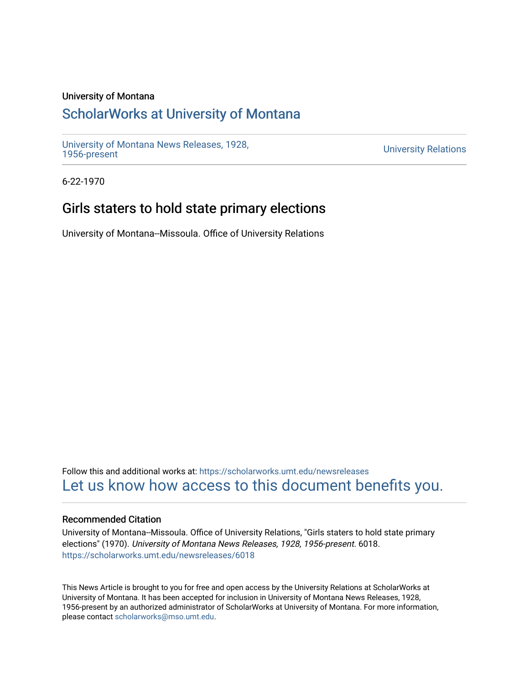### University of Montana

# [ScholarWorks at University of Montana](https://scholarworks.umt.edu/)

[University of Montana News Releases, 1928,](https://scholarworks.umt.edu/newsreleases) 

**University Relations** 

6-22-1970

## Girls staters to hold state primary elections

University of Montana--Missoula. Office of University Relations

Follow this and additional works at: [https://scholarworks.umt.edu/newsreleases](https://scholarworks.umt.edu/newsreleases?utm_source=scholarworks.umt.edu%2Fnewsreleases%2F6018&utm_medium=PDF&utm_campaign=PDFCoverPages) [Let us know how access to this document benefits you.](https://goo.gl/forms/s2rGfXOLzz71qgsB2) 

#### Recommended Citation

University of Montana--Missoula. Office of University Relations, "Girls staters to hold state primary elections" (1970). University of Montana News Releases, 1928, 1956-present. 6018. [https://scholarworks.umt.edu/newsreleases/6018](https://scholarworks.umt.edu/newsreleases/6018?utm_source=scholarworks.umt.edu%2Fnewsreleases%2F6018&utm_medium=PDF&utm_campaign=PDFCoverPages) 

This News Article is brought to you for free and open access by the University Relations at ScholarWorks at University of Montana. It has been accepted for inclusion in University of Montana News Releases, 1928, 1956-present by an authorized administrator of ScholarWorks at University of Montana. For more information, please contact [scholarworks@mso.umt.edu.](mailto:scholarworks@mso.umt.edu)